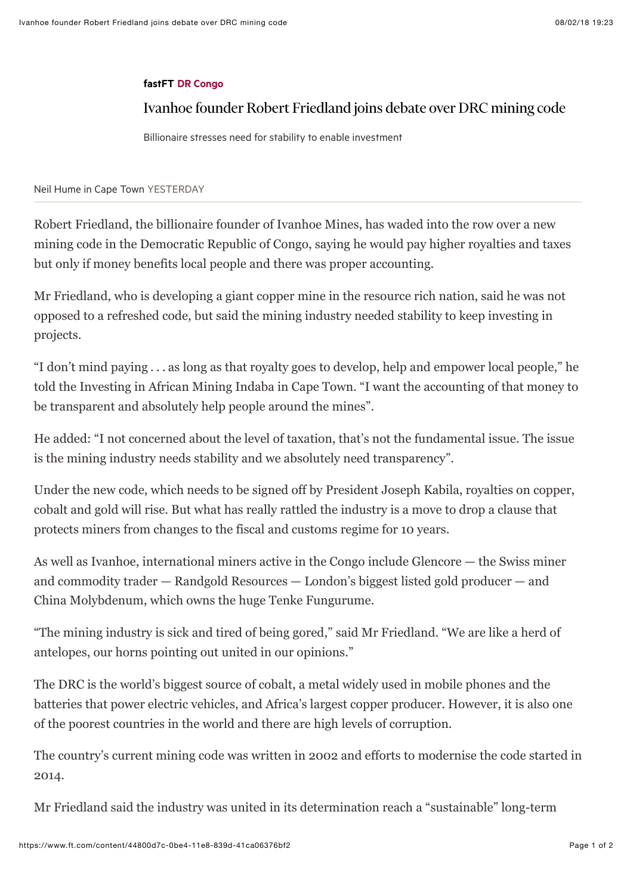## [fastFT](https://www.ft.com/fastft) [DR Congo](https://www.ft.com/topics/places/DR_Congo)

## Ivanhoe founder Robert Friedland joins debate over DRC mining code

Billionaire stresses need for stability to enable investment

[Neil Hume](https://www.ft.com/topics/people/Neil_Hume) in Cape Town YESTERDAY

Robert Friedland, the billionaire founder of Ivanhoe Mines, has waded into the row over a new mining code in the Democratic Republic of Congo, saying he would pay higher royalties and taxes but only if money benefits local people and there was proper accounting.

Mr Friedland, who is developing a giant copper mine in the resource rich nation, said he was not opposed to a refreshed code, but said the mining industry needed stability to keep investing in projects.

"I don't mind paying . . . as long as that royalty goes to develop, help and empower local people," he told the Investing in African Mining Indaba in Cape Town. "I want the accounting of that money to be transparent and absolutely help people around the mines".

He added: "I not concerned about the level of taxation, that's not the fundamental issue. The issue is the mining industry needs stability and we absolutely need transparency".

Under the new code, which needs to be signed off by President Joseph Kabila, royalties on copper, cobalt and gold will rise. But what has really rattled the industry is a move to drop a clause that protects miners from changes to the fiscal and customs regime for 10 years.

As well as Ivanhoe, international miners active in the Congo include Glencore — the Swiss miner and commodity trader — Randgold Resources — London's biggest listed gold producer — and China Molybdenum, which owns the huge Tenke Fungurume.

"The mining industry is sick and tired of being gored," said Mr Friedland. "We are like a herd of antelopes, our horns pointing out united in our opinions."

The DRC is the world's biggest source of cobalt, a metal widely used in mobile phones and the batteries that power electric vehicles, and Africa's largest copper producer. However, it is also one of the poorest countries in the world and there are high levels of corruption.

The country's current mining code was written in 2002 and efforts to modernise the code started in 2014.

Mr Friedland said the industry was united in its determination reach a "sustainable" long-term